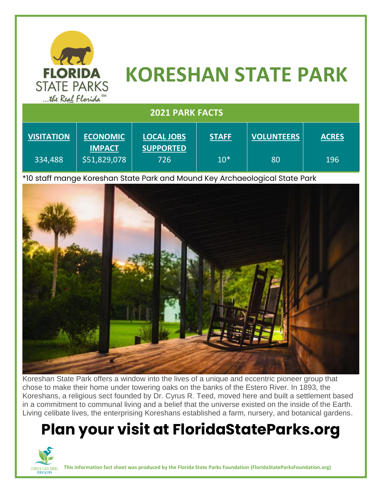

# **KORESHAN STATE PARK**

| <b>2021 PARK FACTS</b> |                               |                         |              |                   |              |
|------------------------|-------------------------------|-------------------------|--------------|-------------------|--------------|
| <b>VISITATION</b>      | <b>ECONOMIC</b>               | <b>LOCAL JOBS</b>       | <b>STAFF</b> | <b>VOLUNTEERS</b> | <b>ACRES</b> |
| 334,488                | <b>IMPACT</b><br>\$51,829,078 | <b>SUPPORTED</b><br>726 | $10*$        | 80                | 196          |

\*10 staff mange Koreshan State Park and Mound Key Archaeological State Park



Koreshan State Park offers a window into the lives of a unique and eccentric pioneer group that chose to make their home under towering oaks on the banks of the Estero River. In 1893, the Koreshans, a religious sect founded by Dr. Cyrus R. Teed, moved here and built a settlement based in a commitment to communal living and a belief that the universe existed on the inside of the Earth. Living celibate lives, the enterprising Koreshans established a farm, nursery, and botanical gardens.

### **Plan your visit at FloridaStateParks.org**



**This information fact sheet was produced by the Florida State Parks Foundation (FloridaStateParksFoundation.org)**